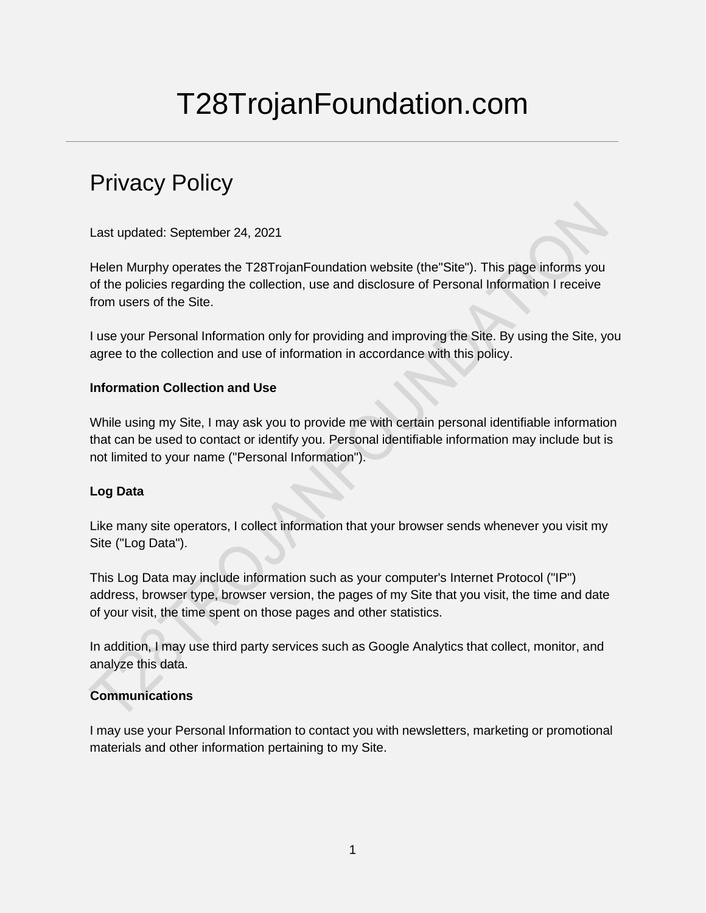# T28TrojanFoundation.com

# Privacy Policy

Last updated: September 24, 2021

Helen Murphy operates the T28TrojanFoundation website (the"Site"). This page informs you of the policies regarding the collection, use and disclosure of Personal Information I receive from users of the Site.

I use your Personal Information only for providing and improving the Site. By using the Site, you agree to the collection and use of information in accordance with this policy.

#### **Information Collection and Use**

While using my Site, I may ask you to provide me with certain personal identifiable information that can be used to contact or identify you. Personal identifiable information may include but is not limited to your name ("Personal Information").

# **Log Data**

Like many site operators, I collect information that your browser sends whenever you visit my Site ("Log Data").

This Log Data may include information such as your computer's Internet Protocol ("IP") address, browser type, browser version, the pages of my Site that you visit, the time and date of your visit, the time spent on those pages and other statistics.

In addition, I may use third party services such as Google Analytics that collect, monitor, and analyze this data.

# **Communications**

I may use your Personal Information to contact you with newsletters, marketing or promotional materials and other information pertaining to my Site.